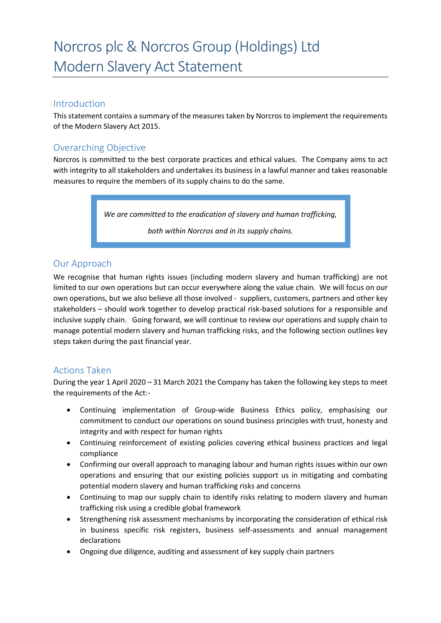#### Introduction

This statement contains a summary of the measures taken by Norcros to implement the requirements of the Modern Slavery Act 2015.

## Overarching Objective

Norcros is committed to the best corporate practices and ethical values. The Company aims to act with integrity to all stakeholders and undertakes its business in a lawful manner and takes reasonable measures to require the members of its supply chains to do the same.

*We are committed to the eradication of slavery and human trafficking,* 

*both within Norcros and in its supply chains.*

### Our Approach

We recognise that human rights issues (including modern slavery and human trafficking) are not limited to our own operations but can occur everywhere along the value chain. We will focus on our own operations, but we also believe all those involved - suppliers, customers, partners and other key stakeholders – should work together to develop practical risk-based solutions for a responsible and inclusive supply chain. Going forward, we will continue to review our operations and supply chain to manage potential modern slavery and human trafficking risks, and the following section outlines key steps taken during the past financial year.

### Actions Taken

During the year 1 April 2020 – 31 March 2021 the Company has taken the following key steps to meet the requirements of the Act:-

- Continuing implementation of Group-wide Business Ethics policy, emphasising our commitment to conduct our operations on sound business principles with trust, honesty and integrity and with respect for human rights
- Continuing reinforcement of existing policies covering ethical business practices and legal compliance
- Confirming our overall approach to managing labour and human rights issues within our own operations and ensuring that our existing policies support us in mitigating and combating potential modern slavery and human trafficking risks and concerns
- Continuing to map our supply chain to identify risks relating to modern slavery and human trafficking risk using a credible global framework
- Strengthening risk assessment mechanisms by incorporating the consideration of ethical risk in business specific risk registers, business self-assessments and annual management declarations
- Ongoing due diligence, auditing and assessment of key supply chain partners